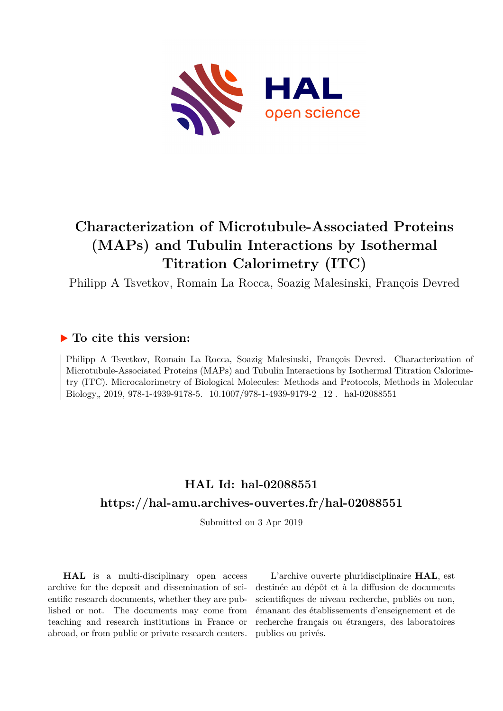

# **Characterization of Microtubule-Associated Proteins (MAPs) and Tubulin Interactions by Isothermal Titration Calorimetry (ITC)**

Philipp A Tsvetkov, Romain La Rocca, Soazig Malesinski, François Devred

### **To cite this version:**

Philipp A Tsvetkov, Romain La Rocca, Soazig Malesinski, François Devred. Characterization of Microtubule-Associated Proteins (MAPs) and Tubulin Interactions by Isothermal Titration Calorimetry (ITC). Microcalorimetry of Biological Molecules: Methods and Protocols, Methods in Molecular Biology, 2019, 978-1-4939-9178-5. 10.1007/978-1-4939-9179-2\_12. hal-02088551

# **HAL Id: hal-02088551 <https://hal-amu.archives-ouvertes.fr/hal-02088551>**

Submitted on 3 Apr 2019

**HAL** is a multi-disciplinary open access archive for the deposit and dissemination of scientific research documents, whether they are published or not. The documents may come from teaching and research institutions in France or abroad, or from public or private research centers.

L'archive ouverte pluridisciplinaire **HAL**, est destinée au dépôt et à la diffusion de documents scientifiques de niveau recherche, publiés ou non, émanant des établissements d'enseignement et de recherche français ou étrangers, des laboratoires publics ou privés.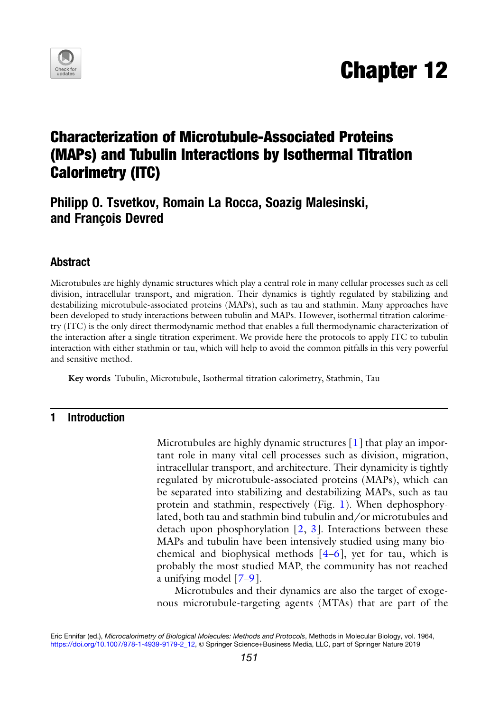

## Characterization of Microtubule-Associated Proteins (MAPs) and Tubulin Interactions by Isothermal Titration Calorimetry (ITC)

### Philipp O. Tsvetkov, Romain La Rocca, Soazig Malesinski, and François Devred

### Abstract

Microtubules are highly dynamic structures which play a central role in many cellular processes such as cell division, intracellular transport, and migration. Their dynamics is tightly regulated by stabilizing and destabilizing microtubule-associated proteins (MAPs), such as tau and stathmin. Many approaches have been developed to study interactions between tubulin and MAPs. However, isothermal titration calorimetry (ITC) is the only direct thermodynamic method that enables a full thermodynamic characterization of the interaction after a single titration experiment. We provide here the protocols to apply ITC to tubulin interaction with either stathmin or tau, which will help to avoid the common pitfalls in this very powerful and sensitive method.

Key words Tubulin, Microtubule, Isothermal titration calorimetry, Stathmin, Tau

#### 1 Introduction

Microtubules are highly dynamic structures [1] that play an important role in many vital cell processes such as division, migration, intracellular transport, and architecture. Their dynamicity is tightly regulated by microtubule-associated proteins (MAPs), which can be separated into stabilizing and destabilizing MAPs, such as tau protein and stathmin, respectively (Fig. 1). When dephosphorylated, both tau and stathmin bind tubulin and/or microtubules and detach upon phosphorylation  $[2, 3]$ . Interactions between these MAPs and tubulin have been intensively studied using many biochemical and biophysical methods  $[4-6]$ , yet for tau, which is probably the most studied MAP, the community has not reached a unifying model [7–9].

Microtubules and their dynamics are also the target of exogenous microtubule-targeting agents (MTAs) that are part of the

Eric Ennifar (ed.), Microcalorimetry of Biological Molecules: Methods and Protocols, Methods in Molecular Biology, vol. 1964, [https://doi.org/10.1007/978-1-4939-9179-2\\_12](https://doi.org/10.1007/978-1-4939-9179-2_12), © Springer Science+Business Media, LLC, part of Springer Nature 2019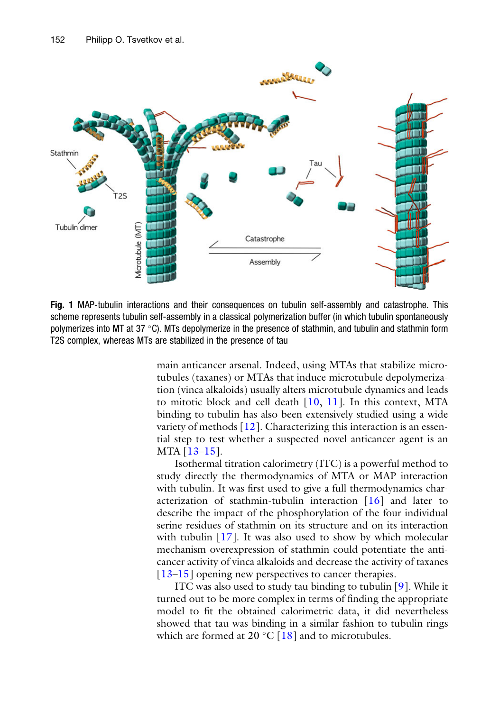

Fig. 1 MAP-tubulin interactions and their consequences on tubulin self-assembly and catastrophe. This scheme represents tubulin self-assembly in a classical polymerization buffer (in which tubulin spontaneously polymerizes into MT at 37 C). MTs depolymerize in the presence of stathmin, and tubulin and stathmin form T2S complex, whereas MTs are stabilized in the presence of tau

main anticancer arsenal. Indeed, using MTAs that stabilize microtubules (taxanes) or MTAs that induce microtubule depolymerization (vinca alkaloids) usually alters microtubule dynamics and leads to mitotic block and cell death [10, 11]. In this context, MTA binding to tubulin has also been extensively studied using a wide variety of methods  $[12]$ . Characterizing this interaction is an essential step to test whether a suspected novel anticancer agent is an MTA [13–15].

Isothermal titration calorimetry (ITC) is a powerful method to study directly the thermodynamics of MTA or MAP interaction with tubulin. It was first used to give a full thermodynamics characterization of stathmin-tubulin interaction [16] and later to describe the impact of the phosphorylation of the four individual serine residues of stathmin on its structure and on its interaction with tubulin  $[17]$ . It was also used to show by which molecular mechanism overexpression of stathmin could potentiate the anticancer activity of vinca alkaloids and decrease the activity of taxanes [13–15] opening new perspectives to cancer therapies.

ITC was also used to study tau binding to tubulin [9]. While it turned out to be more complex in terms of finding the appropriate model to fit the obtained calorimetric data, it did nevertheless showed that tau was binding in a similar fashion to tubulin rings which are formed at  $20 \degree C$  [18] and to microtubules.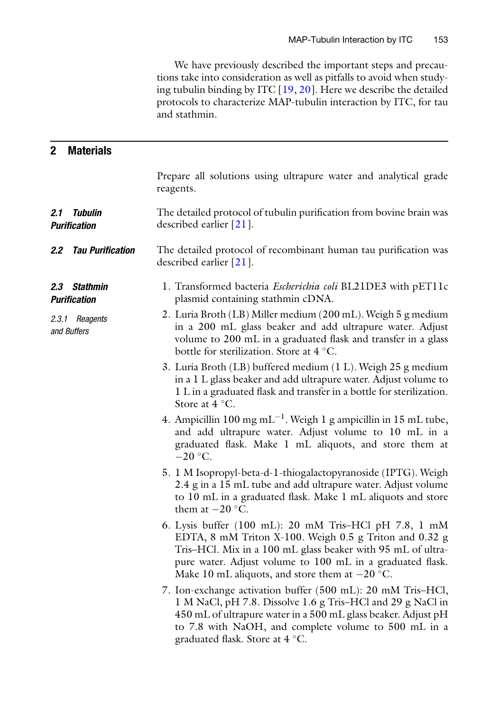We have previously described the important steps and precautions take into consideration as well as pitfalls to avoid when studying tubulin binding by ITC [19, 20]. Here we describe the detailed protocols to characterize MAP-tubulin interaction by ITC, for tau and stathmin.

| $\mathbf{2}$<br><b>Materials</b>              |                                                                                                                                                                                                                                                                                                 |
|-----------------------------------------------|-------------------------------------------------------------------------------------------------------------------------------------------------------------------------------------------------------------------------------------------------------------------------------------------------|
|                                               | Prepare all solutions using ultrapure water and analytical grade<br>reagents.                                                                                                                                                                                                                   |
| <b>Tubulin</b><br>2.1<br><b>Purification</b>  | The detailed protocol of tubulin purification from bovine brain was<br>described earlier $[21]$ .                                                                                                                                                                                               |
| <b>Tau Purification</b><br>$2.2\,$            | The detailed protocol of recombinant human tau purification was<br>described earlier $[21]$ .                                                                                                                                                                                                   |
| <b>Stathmin</b><br>2.3<br><b>Purification</b> | 1. Transformed bacteria Escherichia coli BL21DE3 with pET11c<br>plasmid containing stathmin cDNA.                                                                                                                                                                                               |
| 2.3.1 Reagents<br>and Buffers                 | 2. Luria Broth (LB) Miller medium (200 mL). Weigh 5 g medium<br>in a 200 mL glass beaker and add ultrapure water. Adjust<br>volume to 200 mL in a graduated flask and transfer in a glass<br>bottle for sterilization. Store at 4 °C.                                                           |
|                                               | 3. Luria Broth (LB) buffered medium (1 L). Weigh 25 g medium<br>in a 1 L glass beaker and add ultrapure water. Adjust volume to<br>1 L in a graduated flask and transfer in a bottle for sterilization.<br>Store at 4 °C.                                                                       |
|                                               | 4. Ampicillin 100 mg mL <sup>-1</sup> . Weigh 1 g ampicillin in 15 mL tube,<br>and add ultrapure water. Adjust volume to 10 mL in a<br>graduated flask. Make 1 mL aliquots, and store them at<br>$-20$ °C.                                                                                      |
|                                               | 5. 1 M Isopropyl-beta-d-1-thiogalactopyranoside (IPTG). Weigh<br>2.4 g in a 15 mL tube and add ultrapure water. Adjust volume<br>to 10 mL in a graduated flask. Make 1 mL aliquots and store<br>them at $-20$ °C.                                                                               |
|                                               | 6. Lysis buffer (100 mL): 20 mM Tris-HCl pH 7.8, 1 mM<br>EDTA, 8 mM Triton X-100. Weigh 0.5 g Triton and 0.32 g<br>Tris-HCl. Mix in a 100 mL glass beaker with 95 mL of ultra-<br>pure water. Adjust volume to 100 mL in a graduated flask.<br>Make 10 mL aliquots, and store them at $-20$ °C. |
|                                               | 7. Ion-exchange activation buffer (500 mL): 20 mM Tris-HCl,<br>1 M NaCl, pH 7.8. Dissolve 1.6 g Tris-HCl and 29 g NaCl in<br>450 mL of ultrapure water in a 500 mL glass beaker. Adjust pH<br>to 7.8 with NaOH, and complete volume to 500 mL in a<br>graduated flask. Store at 4 °C.           |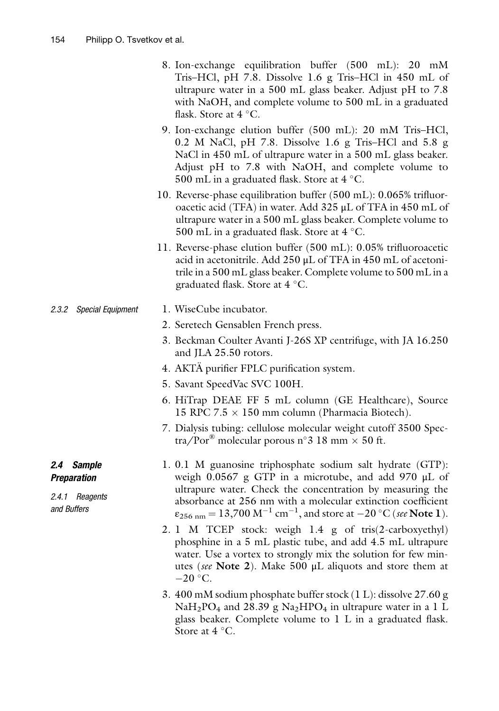- 8. Ion-exchange equilibration buffer (500 mL): 20 mM Tris–HCl, pH 7.8. Dissolve 1.6 g Tris–HCl in 450 mL of ultrapure water in a 500 mL glass beaker. Adjust pH to 7.8 with NaOH, and complete volume to 500 mL in a graduated flask. Store at  $4^{\circ}$ C.
- 9. Ion-exchange elution buffer (500 mL): 20 mM Tris–HCl, 0.2 M NaCl, pH 7.8. Dissolve 1.6 g Tris–HCl and 5.8 g NaCl in 450 mL of ultrapure water in a 500 mL glass beaker. Adjust pH to 7.8 with NaOH, and complete volume to 500 mL in a graduated flask. Store at  $4^{\circ}$ C.
- 10. Reverse-phase equilibration buffer (500 mL): 0.065% trifluoroacetic acid (TFA) in water. Add 325 μL of TFA in 450 mL of ultrapure water in a 500 mL glass beaker. Complete volume to 500 mL in a graduated flask. Store at  $4^{\circ}$ C.
- 11. Reverse-phase elution buffer (500 mL): 0.05% trifluoroacetic acid in acetonitrile. Add 250 μL of TFA in 450 mL of acetonitrile in a 500 mL glass beaker. Complete volume to 500 mL in a graduated flask. Store at  $4^{\circ}$ C.

#### 2.3.2 Special Equipment 1. WiseCube incubator.

- 2. Seretech Gensablen French press.
- 3. Beckman Coulter Avanti J-26S XP centrifuge, with JA 16.250 and JLA 25.50 rotors.
- 4. AKTA purifier FPLC purification system.
- 5. Savant SpeedVac SVC 100H.
- 6. HiTrap DEAE FF 5 mL column (GE Healthcare), Source 15 RPC 7.5  $\times$  150 mm column (Pharmacia Biotech).
- 7. Dialysis tubing: cellulose molecular weight cutoff 3500 Spectra/Por<sup>®</sup> molecular porous n°3 18 mm  $\times$  50 ft.
- 1. 0.1 M guanosine triphosphate sodium salt hydrate (GTP): weigh 0.0567 g GTP in a microtube, and add 970 μL of ultrapure water. Check the concentration by measuring the absorbance at 256 nm with a molecular extinction coefficient  $\varepsilon_{256 \text{ nm}} = 13,700 \text{ M}^{-1} \text{ cm}^{-1}$ , and store at  $-20 \text{ }^{\circ}\text{C}$  (see Note 1).
- 2. 1 M TCEP stock: weigh 1.4 g of tris(2-carboxyethyl) phosphine in a 5 mL plastic tube, and add 4.5 mL ultrapure water. Use a vortex to strongly mix the solution for few minutes (see Note 2). Make 500  $\mu$ L aliquots and store them at  $-20$  °C.
- 3. 400 mM sodium phosphate buffer stock (1 L): dissolve 27.60 g  $NaH<sub>2</sub>PO<sub>4</sub>$  and 28.39 g Na<sub>2</sub>HPO<sub>4</sub> in ultrapure water in a 1 L glass beaker. Complete volume to 1 L in a graduated flask. Store at  $4^{\circ}$ C.

#### 2.4 Sample Preparation

2.4.1 Reagents and Buffers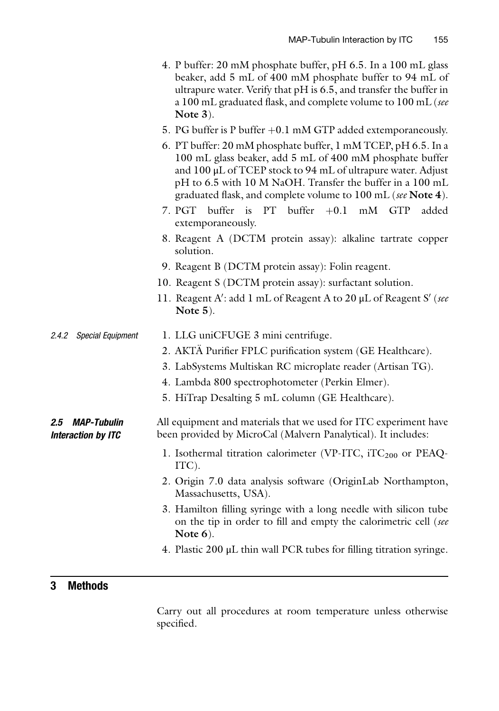- 4. P buffer: 20 mM phosphate buffer, pH 6.5. In a 100 mL glass beaker, add 5 mL of 400 mM phosphate buffer to 94 mL of ultrapure water. Verify that pH is 6.5, and transfer the buffer in a 100 mL graduated flask, and complete volume to 100 mL (see Note 3).
- 5. PG buffer is P buffer  $+0.1$  mM GTP added extemporaneously.
- 6. PT buffer: 20 mM phosphate buffer, 1 mM TCEP, pH 6.5. In a 100 mL glass beaker, add 5 mL of 400 mM phosphate buffer and 100 μL of TCEP stock to 94 mL of ultrapure water. Adjust pH to 6.5 with 10 M NaOH. Transfer the buffer in a 100 mL
- graduated flask, and complete volume to  $100$  mL (see Note 4).<br>PGT buffer is PT buffer  $+0.1$  mM GTP added 7. PGT buffer is PT buffer  $+0.1$  mM GTP extemporaneously.
- 8. Reagent A (DCTM protein assay): alkaline tartrate copper solution.
- 9. Reagent B (DCTM protein assay): Folin reagent.
- 10. Reagent S (DCTM protein assay): surfactant solution.
- 11. Reagent A': add 1 mL of Reagent A to 20  $\mu$ L of Reagent S' (see Note 5) Note 5).
- 2.4.2 Special Equipment 1. LLG uniCFUGE 3 mini centrifuge.
	- 2. AKTA Purifier FPLC purification system (GE Healthcare).
	- 3. LabSystems Multiskan RC microplate reader (Artisan TG).
	- 4. Lambda 800 spectrophotometer (Perkin Elmer).
	- 5. HiTrap Desalting 5 mL column (GE Healthcare).

#### 2.5 MAP-Tubulin Interaction by ITC All equipment and materials that we used for ITC experiment have been provided by MicroCal (Malvern Panalytical). It includes:

- 1. Isothermal titration calorimeter (VP-ITC,  $iTC_{200}$  or PEAQ-ITC).
- 2. Origin 7.0 data analysis software (OriginLab Northampton, Massachusetts, USA).
- 3. Hamilton filling syringe with a long needle with silicon tube on the tip in order to fill and empty the calorimetric cell (see Note 6).
- 4. Plastic 200 μL thin wall PCR tubes for filling titration syringe.

#### 3 Methods

Carry out all procedures at room temperature unless otherwise specified.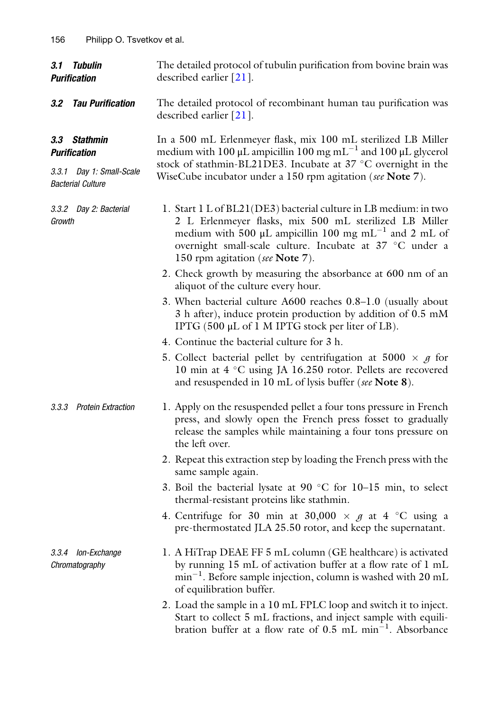| 3.1 Tubulin<br><b>Purification</b>                   | The detailed protocol of tubulin purification from bovine brain was<br>described earlier $[21]$ .                                                                                                                                                                                                   |
|------------------------------------------------------|-----------------------------------------------------------------------------------------------------------------------------------------------------------------------------------------------------------------------------------------------------------------------------------------------------|
| <b>Tau Purification</b><br>$3.2\,$                   | The detailed protocol of recombinant human tau purification was<br>described earlier [21].                                                                                                                                                                                                          |
| 3.3 Stathmin<br><b>Purification</b>                  | In a 500 mL Erlenmeyer flask, mix 100 mL sterilized LB Miller<br>medium with 100 $\mu$ L ampicillin 100 mg mL <sup>-1</sup> and 100 $\mu$ L glycerol<br>stock of stathmin-BL21DE3. Incubate at 37 °C overnight in the<br>WiseCube incubator under a 150 rpm agitation (see Note 7).                 |
| 3.3.1 Day 1: Small-Scale<br><b>Bacterial Culture</b> |                                                                                                                                                                                                                                                                                                     |
| 3.3.2 Day 2: Bacterial<br>Growth                     | 1. Start 1 L of BL21(DE3) bacterial culture in LB medium: in two<br>2 L Erlenmeyer flasks, mix 500 mL sterilized LB Miller<br>medium with 500 $\mu$ L ampicillin 100 mg mL <sup>-1</sup> and 2 mL of<br>overnight small-scale culture. Incubate at 37 °C under a<br>150 rpm agitation (see Note 7). |
|                                                      | 2. Check growth by measuring the absorbance at 600 nm of an<br>aliquot of the culture every hour.                                                                                                                                                                                                   |
|                                                      | 3. When bacterial culture A600 reaches 0.8–1.0 (usually about<br>3 h after), induce protein production by addition of 0.5 mM<br>IPTG (500 µL of 1 M IPTG stock per liter of LB).                                                                                                                    |
|                                                      | 4. Continue the bacterial culture for 3 h.                                                                                                                                                                                                                                                          |
|                                                      | 5. Collect bacterial pellet by centrifugation at 5000 $\times$ g for<br>10 min at 4 °C using JA 16.250 rotor. Pellets are recovered<br>and resuspended in 10 mL of lysis buffer (see Note 8).                                                                                                       |
| 3.3.3 Protein Extraction                             | 1. Apply on the resuspended pellet a four tons pressure in French<br>press, and slowly open the French press fosset to gradually<br>release the samples while maintaining a four tons pressure on<br>the left over.                                                                                 |
|                                                      | 2. Repeat this extraction step by loading the French press with the<br>same sample again.                                                                                                                                                                                                           |
|                                                      | 3. Boil the bacterial lysate at 90 $^{\circ}$ C for 10–15 min, to select<br>thermal-resistant proteins like stathmin.                                                                                                                                                                               |
|                                                      | 4. Centrifuge for 30 min at 30,000 $\times g$ at 4 °C using a<br>pre-thermostated JLA 25.50 rotor, and keep the supernatant.                                                                                                                                                                        |
| 3.3.4 Ion-Exchange<br>Chromatography                 | 1. A HiTrap DEAE FF 5 mL column (GE healthcare) is activated<br>by running 15 mL of activation buffer at a flow rate of 1 mL<br>$min^{-1}$ . Before sample injection, column is washed with 20 mL<br>of equilibration buffer.                                                                       |
|                                                      | 2. Load the sample in a 10 mL FPLC loop and switch it to inject.<br>Start to collect 5 mL fractions, and inject sample with equili-<br>bration buffer at a flow rate of $0.5$ mL min <sup>-1</sup> . Absorbance                                                                                     |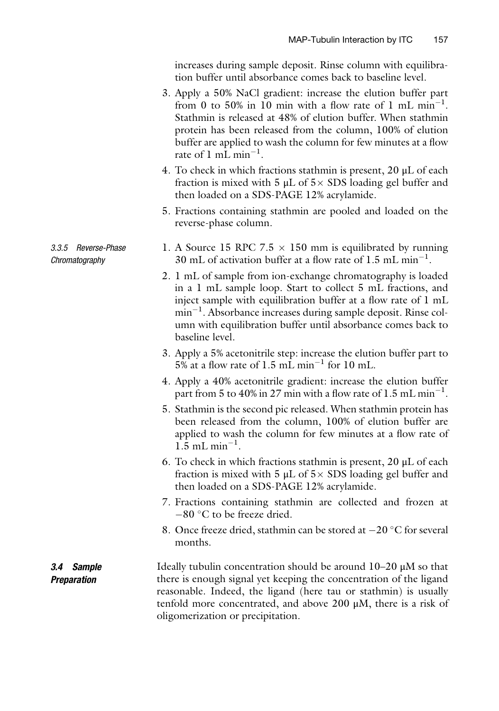increases during sample deposit. Rinse column with equilibration buffer until absorbance comes back to baseline level.

- 3. Apply a 50% NaCl gradient: increase the elution buffer part from 0 to 50% in 10 min with a flow rate of 1 mL  $min^{-1}$ . Stathmin is released at 48% of elution buffer. When stathmin protein has been released from the column, 100% of elution buffer are applied to wash the column for few minutes at a flow rate of 1 mL min<sup> $-1$ </sup> .
- 4. To check in which fractions stathmin is present, 20 μL of each fraction is mixed with 5  $\mu$ L of 5  $\times$  SDS loading gel buffer and then loaded on a SDS-PAGE 12% acrylamide.
- 5. Fractions containing stathmin are pooled and loaded on the reverse-phase column.
- 1. A Source 15 RPC 7.5  $\times$  150 mm is equilibrated by running 30 mL of activation buffer at a flow rate of  $1.5$  mL min<sup>-1</sup>.
- 2. 1 mL of sample from ion-exchange chromatography is loaded in a 1 mL sample loop. Start to collect 5 mL fractions, and inject sample with equilibration buffer at a flow rate of 1 mL min<sup>-1</sup>. Absorbance increases during sample deposit. Rinse column with equilibration buffer until absorbance comes back to baseline level.
- 3. Apply a 5% acetonitrile step: increase the elution buffer part to  $5\%$  at a flow rate of 1.5 mL min<sup>-1</sup> for 10 mL.
- 4. Apply a 40% acetonitrile gradient: increase the elution buffer part from 5 to 40% in 27 min with a flow rate of 1.5 mL min<sup>-1</sup>.
- 5. Stathmin is the second pic released. When stathmin protein has been released from the column, 100% of elution buffer are applied to wash the column for few minutes at a flow rate of  $1.5$  mL min<sup>-1</sup>.
- 6. To check in which fractions stathmin is present, 20 μL of each fraction is mixed with 5  $\mu$ L of 5  $\times$  SDS loading gel buffer and then loaded on a SDS-PAGE 12% acrylamide.
- 7. Fractions containing stathmin are collected and frozen at  $-80$  °C to be freeze dried.
- 8. Once freeze dried, stathmin can be stored at  $-20$  °C for several months.

3.4 Sample **Preparation** Ideally tubulin concentration should be around 10–20 μM so that there is enough signal yet keeping the concentration of the ligand reasonable. Indeed, the ligand (here tau or stathmin) is usually tenfold more concentrated, and above 200 μM, there is a risk of oligomerization or precipitation.

#### 3.3.5 Reverse-Phase Chromatography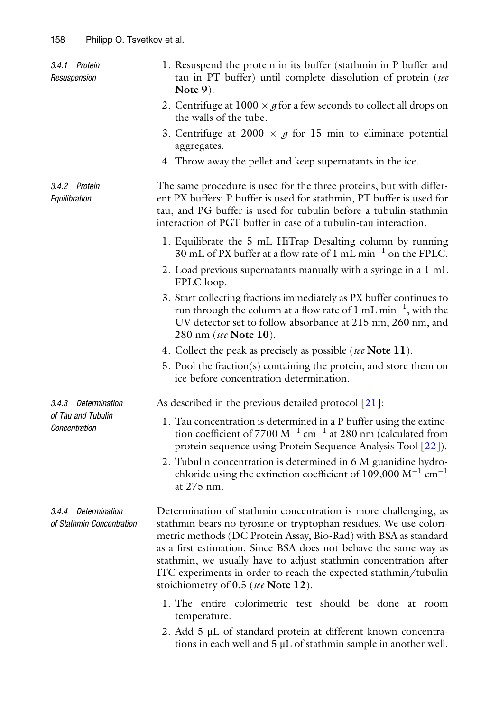| 3.4.1 Protein<br>Resuspension                    | 1. Resuspend the protein in its buffer (stathmin in P buffer and<br>tau in PT buffer) until complete dissolution of protein (see<br>Note $9$ ).                                                                                                                                                                                                                                                                                                           |
|--------------------------------------------------|-----------------------------------------------------------------------------------------------------------------------------------------------------------------------------------------------------------------------------------------------------------------------------------------------------------------------------------------------------------------------------------------------------------------------------------------------------------|
|                                                  | 2. Centrifuge at $1000 \times g$ for a few seconds to collect all drops on<br>the walls of the tube.                                                                                                                                                                                                                                                                                                                                                      |
|                                                  | 3. Centrifuge at 2000 $\times$ g for 15 min to eliminate potential<br>aggregates.                                                                                                                                                                                                                                                                                                                                                                         |
|                                                  | 4. Throw away the pellet and keep supernatants in the ice.                                                                                                                                                                                                                                                                                                                                                                                                |
| 3.4.2 Protein<br>Equilibration                   | The same procedure is used for the three proteins, but with differ-<br>ent PX buffers: P buffer is used for stathmin, PT buffer is used for<br>tau, and PG buffer is used for tubulin before a tubulin-stathmin<br>interaction of PGT buffer in case of a tubulin-tau interaction.                                                                                                                                                                        |
|                                                  | 1. Equilibrate the 5 mL HiTrap Desalting column by running<br>30 mL of PX buffer at a flow rate of 1 mL min <sup>-1</sup> on the FPLC.                                                                                                                                                                                                                                                                                                                    |
|                                                  | 2. Load previous supernatants manually with a syringe in a 1 mL<br>FPLC loop.                                                                                                                                                                                                                                                                                                                                                                             |
|                                                  | 3. Start collecting fractions immediately as PX buffer continues to<br>run through the column at a flow rate of $1 \text{ mL min}^{-1}$ , with the<br>UV detector set to follow absorbance at 215 nm, 260 nm, and<br>280 nm (see Note 10).                                                                                                                                                                                                                |
|                                                  | 4. Collect the peak as precisely as possible (see Note 11).                                                                                                                                                                                                                                                                                                                                                                                               |
|                                                  | 5. Pool the fraction(s) containing the protein, and store them on<br>ice before concentration determination.                                                                                                                                                                                                                                                                                                                                              |
| 3.4.3 Determination                              | As described in the previous detailed protocol $[21]$ :                                                                                                                                                                                                                                                                                                                                                                                                   |
| of Tau and Tubulin<br>Concentration              | 1. Tau concentration is determined in a P buffer using the extinc-<br>tion coefficient of 7700 $M^{-1}$ cm <sup>-1</sup> at 280 nm (calculated from<br>protein sequence using Protein Sequence Analysis Tool [22]).<br>2. Tubulin concentration is determined in 6 M guanidine hydro-<br>chloride using the extinction coefficient of 109,000 $M^{-1}$ cm <sup>-1</sup>                                                                                   |
|                                                  | at 275 nm.                                                                                                                                                                                                                                                                                                                                                                                                                                                |
| 3.4.4 Determination<br>of Stathmin Concentration | Determination of stathmin concentration is more challenging, as<br>stathmin bears no tyrosine or tryptophan residues. We use colori-<br>metric methods (DC Protein Assay, Bio-Rad) with BSA as standard<br>as a first estimation. Since BSA does not behave the same way as<br>stathmin, we usually have to adjust stathmin concentration after<br>ITC experiments in order to reach the expected stathmin/tubulin<br>stoichiometry of 0.5 (see Note 12). |
|                                                  | 1. The entire colorimetric test should be done at room<br>temperature.                                                                                                                                                                                                                                                                                                                                                                                    |
|                                                  | 2. Add 5 µL of standard protein at different known concentra-<br>tions in each well and $5 \mu L$ of stathmin sample in another well.                                                                                                                                                                                                                                                                                                                     |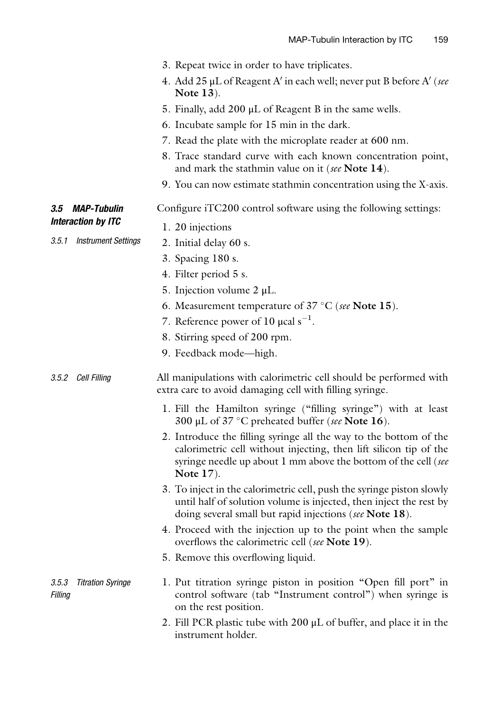|                                              | 3. Repeat twice in order to have triplicates.                                                                                                                                                                            |
|----------------------------------------------|--------------------------------------------------------------------------------------------------------------------------------------------------------------------------------------------------------------------------|
|                                              | 4. Add 25 µL of Reagent A' in each well; never put B before A' (see<br><b>Note 13</b> ).                                                                                                                                 |
|                                              | 5. Finally, add 200 µL of Reagent B in the same wells.                                                                                                                                                                   |
|                                              | 6. Incubate sample for 15 min in the dark.                                                                                                                                                                               |
|                                              | 7. Read the plate with the microplate reader at 600 nm.                                                                                                                                                                  |
|                                              | 8. Trace standard curve with each known concentration point,<br>and mark the stathmin value on it (see Note 14).                                                                                                         |
|                                              | 9. You can now estimate stathmin concentration using the X-axis.                                                                                                                                                         |
| 3.5<br><i><b>MAP-Tubulin</b></i>             | Configure iTC200 control software using the following settings:                                                                                                                                                          |
| <b>Interaction by ITC</b>                    | 1. 20 injections                                                                                                                                                                                                         |
| 3.5.1 Instrument Settings                    | 2. Initial delay 60 s.                                                                                                                                                                                                   |
|                                              | 3. Spacing 180 s.                                                                                                                                                                                                        |
|                                              | 4. Filter period 5 s.                                                                                                                                                                                                    |
|                                              | 5. Injection volume $2 \mu L$ .                                                                                                                                                                                          |
|                                              | 6. Measurement temperature of $37 \degree C$ (see Note 15).                                                                                                                                                              |
|                                              | 7. Reference power of 10 $\mu$ cal s <sup>-1</sup> .                                                                                                                                                                     |
|                                              | 8. Stirring speed of 200 rpm.                                                                                                                                                                                            |
|                                              | 9. Feedback mode—high.                                                                                                                                                                                                   |
| 3.5.2 Cell Filling                           | All manipulations with calorimetric cell should be performed with<br>extra care to avoid damaging cell with filling syringe.                                                                                             |
|                                              | 1. Fill the Hamilton syringe ("filling syringe") with at least<br>300 µL of 37 $\degree$ C preheated buffer (see Note 16).                                                                                               |
|                                              | 2. Introduce the filling syringe all the way to the bottom of the<br>calorimetric cell without injecting, then lift silicon tip of the<br>syringe needle up about 1 mm above the bottom of the cell (see<br>Note $17$ ). |
|                                              | 3. To inject in the calorimetric cell, push the syringe piston slowly<br>until half of solution volume is injected, then inject the rest by<br>doing several small but rapid injections (see Note 18).                   |
|                                              | 4. Proceed with the injection up to the point when the sample<br>overflows the calorimetric cell (see Note 19).                                                                                                          |
|                                              | 5. Remove this overflowing liquid.                                                                                                                                                                                       |
| <b>Titration Syringe</b><br>3.5.3<br>Filling | 1. Put titration syringe piston in position "Open fill port" in<br>control software (tab "Instrument control") when syringe is<br>on the rest position.                                                                  |
|                                              | 2. Fill PCR plastic tube with $200 \mu L$ of buffer, and place it in the<br>instrument holder.                                                                                                                           |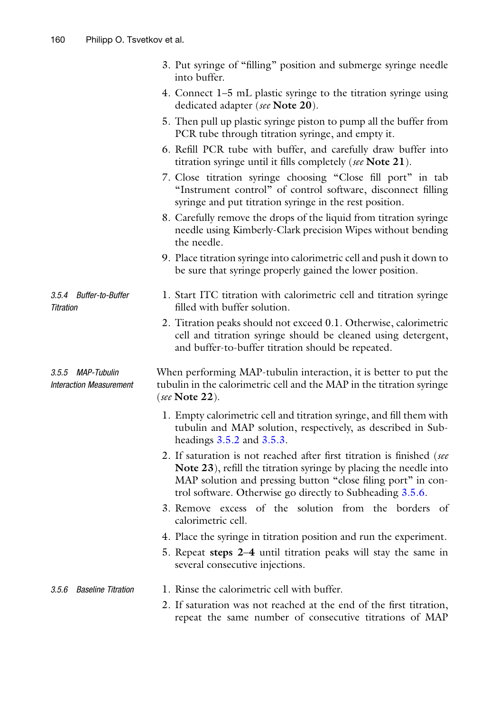|                                                     | 3. Put syringe of "filling" position and submerge syringe needle<br>into buffer.                                                                                                                                                                                         |
|-----------------------------------------------------|--------------------------------------------------------------------------------------------------------------------------------------------------------------------------------------------------------------------------------------------------------------------------|
|                                                     | 4. Connect 1–5 mL plastic syringe to the titration syringe using<br>dedicated adapter (see Note 20).                                                                                                                                                                     |
|                                                     | 5. Then pull up plastic syringe piston to pump all the buffer from<br>PCR tube through titration syringe, and empty it.                                                                                                                                                  |
|                                                     | 6. Refill PCR tube with buffer, and carefully draw buffer into<br>titration syringe until it fills completely (see Note 21).                                                                                                                                             |
|                                                     | 7. Close titration syringe choosing "Close fill port" in tab<br>"Instrument control" of control software, disconnect filling<br>syringe and put titration syringe in the rest position.                                                                                  |
|                                                     | 8. Carefully remove the drops of the liquid from titration syringe<br>needle using Kimberly-Clark precision Wipes without bending<br>the needle.                                                                                                                         |
|                                                     | 9. Place titration syringe into calorimetric cell and push it down to<br>be sure that syringe properly gained the lower position.                                                                                                                                        |
| 3.5.4 Buffer-to-Buffer<br><b>Titration</b>          | 1. Start ITC titration with calorimetric cell and titration syringe<br>filled with buffer solution.                                                                                                                                                                      |
|                                                     | 2. Titration peaks should not exceed 0.1. Otherwise, calorimetric<br>cell and titration syringe should be cleaned using detergent,<br>and buffer-to-buffer titration should be repeated.                                                                                 |
| 3.5.5 MAP-Tubulin<br><b>Interaction Measurement</b> | When performing MAP-tubulin interaction, it is better to put the<br>tubulin in the calorimetric cell and the MAP in the titration syringe<br>(see Note 22).                                                                                                              |
|                                                     | 1. Empty calorimetric cell and titration syringe, and fill them with<br>tubulin and MAP solution, respectively, as described in Sub-<br>headings 3.5.2 and 3.5.3.                                                                                                        |
|                                                     | 2. If saturation is not reached after first titration is finished (see<br>Note 23), refill the titration syringe by placing the needle into<br>MAP solution and pressing button "close filing port" in con-<br>trol software. Otherwise go directly to Subheading 3.5.6. |
|                                                     | 3. Remove excess of the solution from the borders of<br>calorimetric cell.                                                                                                                                                                                               |
|                                                     | 4. Place the syringe in titration position and run the experiment.                                                                                                                                                                                                       |
|                                                     | 5. Repeat steps 2–4 until titration peaks will stay the same in<br>several consecutive injections.                                                                                                                                                                       |
| Baseline Titration<br>3.5.6                         | 1. Rinse the calorimetric cell with buffer.                                                                                                                                                                                                                              |
|                                                     | 2. If saturation was not reached at the end of the first titration,<br>repeat the same number of consecutive titrations of MAP                                                                                                                                           |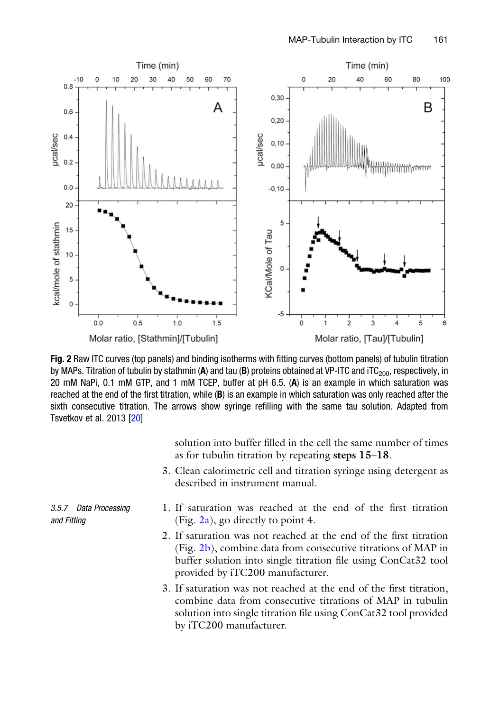

Fig. 2 Raw ITC curves (top panels) and binding isotherms with fitting curves (bottom panels) of tubulin titration by MAPs. Titration of tubulin by stathmin (A) and tau (B) proteins obtained at VP-ITC and iTC<sub>200</sub>, respectively, in 20 mM NaPi, 0.1 mM GTP, and 1 mM TCEP, buffer at pH 6.5. (A) is an example in which saturation was reached at the end of the first titration, while (B) is an example in which saturation was only reached after the sixth consecutive titration. The arrows show syringe refilling with the same tau solution. Adapted from Tsvetkov et al. 2013 [20]

solution into buffer filled in the cell the same number of times as for tubulin titration by repeating steps 15–18.

- 3. Clean calorimetric cell and titration syringe using detergent as described in instrument manual.
- 3.5.7 Data Processing and Fitting
- 1. If saturation was reached at the end of the first titration (Fig.  $2a$ ), go directly to point 4.
- 2. If saturation was not reached at the end of the first titration (Fig. 2b), combine data from consecutive titrations of MAP in buffer solution into single titration file using ConCat32 tool provided by iTC200 manufacturer.
- 3. If saturation was not reached at the end of the first titration, combine data from consecutive titrations of MAP in tubulin solution into single titration file using ConCat32 tool provided by iTC200 manufacturer.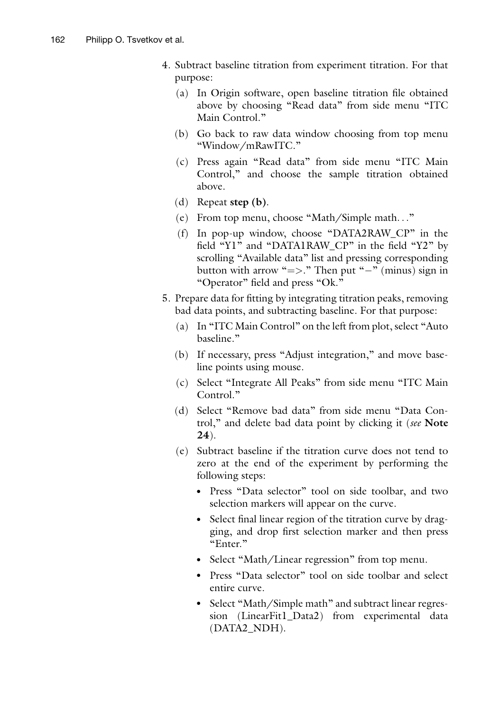- 4. Subtract baseline titration from experiment titration. For that purpose:
	- (a) In Origin software, open baseline titration file obtained above by choosing "Read data" from side menu "ITC Main Control."
	- (b) Go back to raw data window choosing from top menu "Window/mRawITC."
	- (c) Press again "Read data" from side menu "ITC Main Control," and choose the sample titration obtained above.
	- (d) Repeat step (b).
	- (e) From top menu, choose "Math/Simple math..."
	- (f) In pop-up window, choose "DATA2RAW\_CP" in the field "Y1" and "DATA1RAW\_CP" in the field "Y2" by scrolling "Available data" list and pressing corresponding button with arrow " $=>$ ." Then put "-" (minus) sign in "Operator" field and press "Ok."
- 5. Prepare data for fitting by integrating titration peaks, removing bad data points, and subtracting baseline. For that purpose:
	- (a) In "ITC Main Control" on the left from plot, select "Auto baseline."
	- (b) If necessary, press "Adjust integration," and move baseline points using mouse.
	- (c) Select "Integrate All Peaks" from side menu "ITC Main Control."
	- (d) Select "Remove bad data" from side menu "Data Control," and delete bad data point by clicking it (see Note 24).
	- (e) Subtract baseline if the titration curve does not tend to zero at the end of the experiment by performing the following steps:
		- Press "Data selector" tool on side toolbar, and two selection markers will appear on the curve.
		- Select final linear region of the titration curve by dragging, and drop first selection marker and then press "Enter."
		- Select "Math/Linear regression" from top menu.
		- Press "Data selector" tool on side toolbar and select entire curve.
		- Select "Math/Simple math" and subtract linear regression (LinearFit1\_Data2) from experimental data (DATA2\_NDH).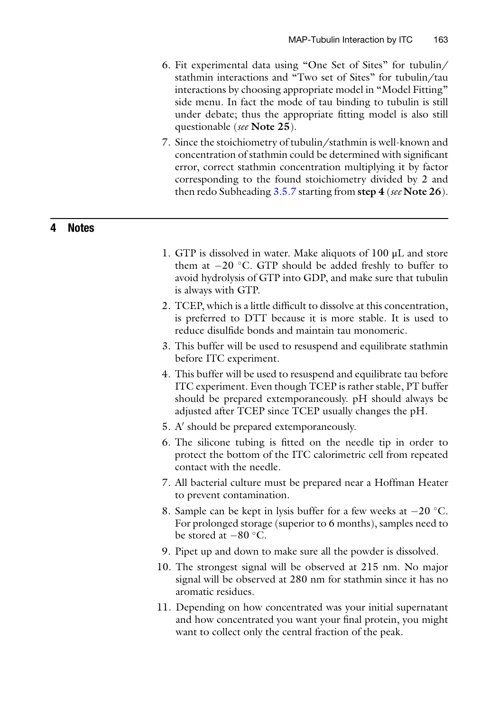- 6. Fit experimental data using "One Set of Sites" for tubulin/ stathmin interactions and "Two set of Sites" for tubulin/tau interactions by choosing appropriate model in "Model Fitting" side menu. In fact the mode of tau binding to tubulin is still under debate; thus the appropriate fitting model is also still questionable (see Note 25).
- 7. Since the stoichiometry of tubulin/stathmin is well-known and concentration of stathmin could be determined with significant error, correct stathmin concentration multiplying it by factor corresponding to the found stoichiometry divided by 2 and then redo Subheading  $3.5.7$  starting from step  $4$  (see Note 26).

#### 4 Notes

- 1. GTP is dissolved in water. Make aliquots of 100 μL and store them at  $-20$  °C. GTP should be added freshly to buffer to avoid hydrolysis of GTP into GDP, and make sure that tubulin is always with GTP.
- 2. TCEP, which is a little difficult to dissolve at this concentration, is preferred to DTT because it is more stable. It is used to reduce disulfide bonds and maintain tau monomeric.
- 3. This buffer will be used to resuspend and equilibrate stathmin before ITC experiment.
- 4. This buffer will be used to resuspend and equilibrate tau before ITC experiment. Even though TCEP is rather stable, PT buffer should be prepared extemporaneously. pH should always be adjusted after TCEP since TCEP usually changes the pH.
- 5. A' should be prepared extemporaneously.
- 6. The silicone tubing is fitted on the needle tip in order to protect the bottom of the ITC calorimetric cell from repeated contact with the needle.
- 7. All bacterial culture must be prepared near a Hoffman Heater to prevent contamination.
- 8. Sample can be kept in lysis buffer for a few weeks at  $-20$  °C. For prolonged storage (superior to 6 months), samples need to be stored at  $-80$  °C.
- 9. Pipet up and down to make sure all the powder is dissolved.
- 10. The strongest signal will be observed at 215 nm. No major signal will be observed at 280 nm for stathmin since it has no aromatic residues.
- 11. Depending on how concentrated was your initial supernatant and how concentrated you want your final protein, you might want to collect only the central fraction of the peak.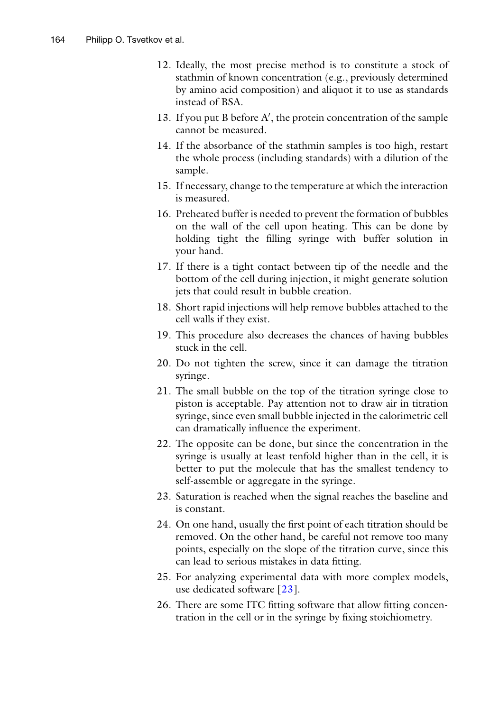- 12. Ideally, the most precise method is to constitute a stock of stathmin of known concentration (e.g., previously determined by amino acid composition) and aliquot it to use as standards instead of BSA.
- 13. If you put B before A', the protein concentration of the sample cannot be measured.
- 14. If the absorbance of the stathmin samples is too high, restart the whole process (including standards) with a dilution of the sample.
- 15. If necessary, change to the temperature at which the interaction is measured.
- 16. Preheated buffer is needed to prevent the formation of bubbles on the wall of the cell upon heating. This can be done by holding tight the filling syringe with buffer solution in your hand.
- 17. If there is a tight contact between tip of the needle and the bottom of the cell during injection, it might generate solution jets that could result in bubble creation.
- 18. Short rapid injections will help remove bubbles attached to the cell walls if they exist.
- 19. This procedure also decreases the chances of having bubbles stuck in the cell.
- 20. Do not tighten the screw, since it can damage the titration syringe.
- 21. The small bubble on the top of the titration syringe close to piston is acceptable. Pay attention not to draw air in titration syringe, since even small bubble injected in the calorimetric cell can dramatically influence the experiment.
- 22. The opposite can be done, but since the concentration in the syringe is usually at least tenfold higher than in the cell, it is better to put the molecule that has the smallest tendency to self-assemble or aggregate in the syringe.
- 23. Saturation is reached when the signal reaches the baseline and is constant.
- 24. On one hand, usually the first point of each titration should be removed. On the other hand, be careful not remove too many points, especially on the slope of the titration curve, since this can lead to serious mistakes in data fitting.
- 25. For analyzing experimental data with more complex models, use dedicated software [23].
- 26. There are some ITC fitting software that allow fitting concentration in the cell or in the syringe by fixing stoichiometry.